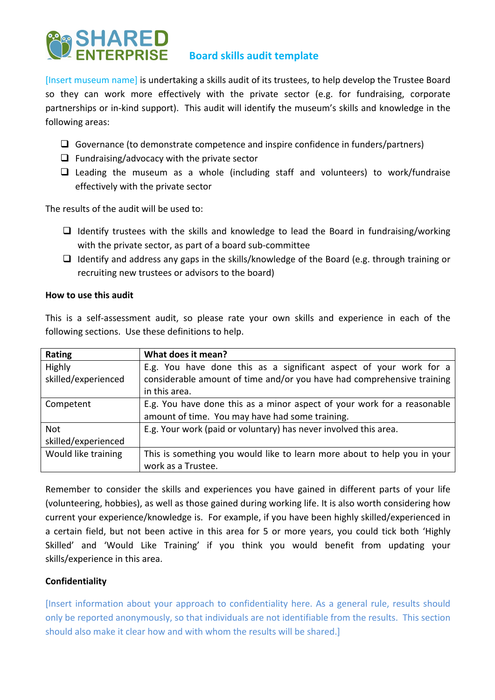

[Insert museum name] is undertaking a skills audit of its trustees, to help develop the Trustee Board so they can work more effectively with the private sector (e.g. for fundraising, corporate partnerships or in-kind support). This audit will identify the museum's skills and knowledge in the following areas:

- $\Box$  Governance (to demonstrate competence and inspire confidence in funders/partners)
- $\Box$  Fundraising/advocacy with the private sector
- $\Box$  Leading the museum as a whole (including staff and volunteers) to work/fundraise effectively with the private sector

The results of the audit will be used to:

- $\Box$  Identify trustees with the skills and knowledge to lead the Board in fundraising/working with the private sector, as part of a board sub-committee
- $\Box$  Identify and address any gaps in the skills/knowledge of the Board (e.g. through training or recruiting new trustees or advisors to the board)

## **How to use this audit**

This is a self-assessment audit, so please rate your own skills and experience in each of the following sections. Use these definitions to help.

| Rating              | What does it mean?                                                       |
|---------------------|--------------------------------------------------------------------------|
| Highly              | E.g. You have done this as a significant aspect of your work for a       |
| skilled/experienced | considerable amount of time and/or you have had comprehensive training   |
|                     | in this area.                                                            |
| Competent           | E.g. You have done this as a minor aspect of your work for a reasonable  |
|                     | amount of time. You may have had some training.                          |
| Not                 | E.g. Your work (paid or voluntary) has never involved this area.         |
| skilled/experienced |                                                                          |
| Would like training | This is something you would like to learn more about to help you in your |
|                     | work as a Trustee.                                                       |

Remember to consider the skills and experiences you have gained in different parts of your life (volunteering, hobbies), as well as those gained during working life. It is also worth considering how current your experience/knowledge is. For example, if you have been highly skilled/experienced in a certain field, but not been active in this area for 5 or more years, you could tick both 'Highly Skilled' and 'Would Like Training' if you think you would benefit from updating your skills/experience in this area.

## **Confidentiality**

[Insert information about your approach to confidentiality here. As a general rule, results should only be reported anonymously, so that individuals are not identifiable from the results. This section should also make it clear how and with whom the results will be shared.]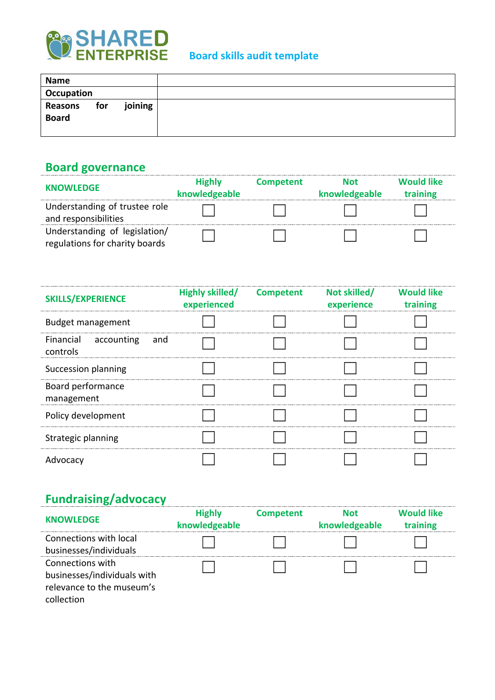

| <b>Name</b>             |     |         |  |
|-------------------------|-----|---------|--|
| Occupation              |     |         |  |
| Reasons<br><b>Board</b> | for | joining |  |

## **Board governance**

| <b>KNOWLEDGE</b>                                                | <b>Highly</b><br>knowledgeable | <b>Competent</b> | <b>Not</b><br>knowledgeable | <b>Would like</b><br>training |
|-----------------------------------------------------------------|--------------------------------|------------------|-----------------------------|-------------------------------|
| Understanding of trustee role<br>and responsibilities           |                                |                  |                             |                               |
| Understanding of legislation/<br>regulations for charity boards |                                |                  |                             |                               |

| <b>SKILLS/EXPERIENCE</b>         | Highly skilled/ Competent<br>experienced | Not skilled/<br>experience | <b>Would like</b><br>training |
|----------------------------------|------------------------------------------|----------------------------|-------------------------------|
| <b>Budget management</b>         |                                          |                            |                               |
| Financial accounting<br>controls | and                                      |                            |                               |
| Succession planning              |                                          |                            |                               |
| Board performance<br>management  |                                          |                            |                               |
| Policy development               |                                          |                            |                               |
| Strategic planning               |                                          |                            |                               |
| Advocacy                         |                                          |                            |                               |

# **Fundraising/advocacy**

| <b>KNOWLEDGE</b>                                                                           | <b>Highly</b><br>knowledgeable | <b>Competent</b> | <b>Not</b><br>knowledgeable | <b>Would like</b><br>training |
|--------------------------------------------------------------------------------------------|--------------------------------|------------------|-----------------------------|-------------------------------|
| Connections with local<br>businesses/individuals                                           |                                |                  |                             |                               |
| Connections with<br>businesses/individuals with<br>relevance to the museum's<br>collection |                                |                  |                             |                               |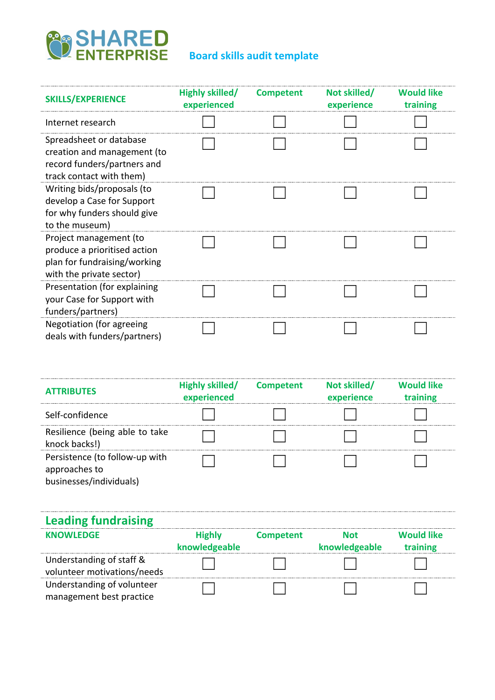

| <b>SKILLS/EXPERIENCE</b>                                                                                           | Highly skilled/<br>experienced | <b>Competent</b> | Not skilled/<br>experience | <b>Would like</b><br>training |
|--------------------------------------------------------------------------------------------------------------------|--------------------------------|------------------|----------------------------|-------------------------------|
| Internet research                                                                                                  |                                |                  |                            |                               |
| Spreadsheet or database<br>creation and management (to<br>record funders/partners and<br>track contact with them)  |                                |                  |                            |                               |
| Writing bids/proposals (to<br>develop a Case for Support<br>for why funders should give<br>to the museum)          |                                |                  |                            |                               |
| Project management (to<br>produce a prioritised action<br>plan for fundraising/working<br>with the private sector) |                                |                  |                            |                               |
| Presentation (for explaining<br>your Case for Support with<br>funders/partners)                                    |                                |                  |                            |                               |
| Negotiation (for agreeing<br>deals with funders/partners)                                                          |                                |                  |                            |                               |

| <b>ATTRIBUTES</b>                                       | Highly skilled/<br>experienced | <b>Competent</b> | Not skilled/<br>experience  | <b>Would like</b><br>training |
|---------------------------------------------------------|--------------------------------|------------------|-----------------------------|-------------------------------|
| Self-confidence                                         |                                |                  |                             |                               |
| Resilience (being able to take<br>knock backs!)         |                                |                  |                             |                               |
| Persistence (to follow-up with<br>approaches to         |                                |                  |                             |                               |
| businesses/individuals)                                 |                                |                  |                             |                               |
| <b>Leading fundraising</b>                              |                                |                  |                             |                               |
| <b>KNOWLEDGE</b>                                        | <b>Highly</b><br>knowledgeable | <b>Competent</b> | <b>Not</b><br>knowledgeable | <b>Would like</b><br>training |
| Understanding of staff &<br>volunteer motivations/needs |                                |                  |                             |                               |
| Understanding of volunteer<br>management best practice  |                                |                  |                             |                               |